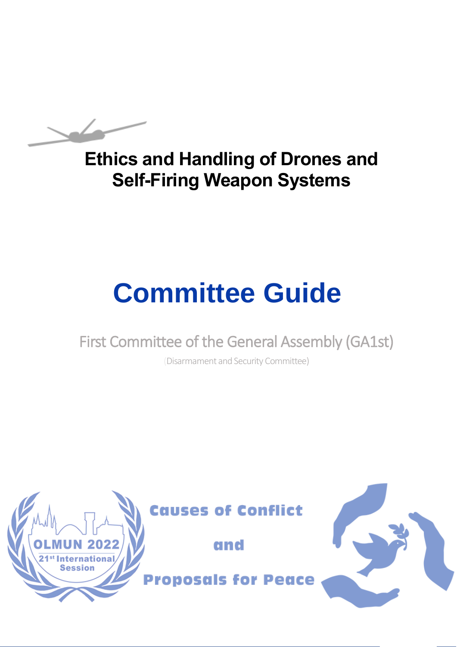# **Ethics and Handling of Drones and Self-Firing Weapon Systems**

# **Committee Guide**

# First Committee of the General Assembly (GA1st)

(Disarmament and Security Committee)

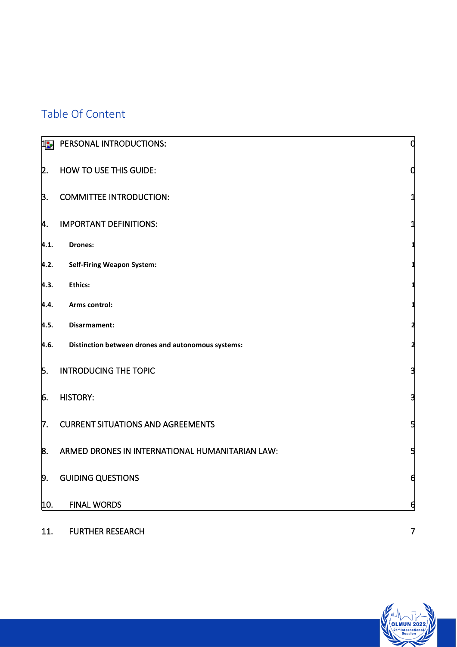# Table Of Content

| 12.  | PERSONAL INTRODUCTIONS:                            | 0 |
|------|----------------------------------------------------|---|
| 2.   | <b>HOW TO USE THIS GUIDE:</b>                      |   |
| B.   | <b>COMMITTEE INTRODUCTION:</b>                     |   |
| 4.   | <b>IMPORTANT DEFINITIONS:</b>                      |   |
| 4.1. | <b>Drones:</b>                                     |   |
| 4.2. | <b>Self-Firing Weapon System:</b>                  |   |
| 4.3. | <b>Ethics:</b>                                     |   |
| 4.4. | Arms control:                                      |   |
| 4.5. | Disarmament:                                       |   |
| 4.6. | Distinction between drones and autonomous systems: | 2 |
| 5.   | <b>INTRODUCING THE TOPIC</b>                       |   |
| 6.   | <b>HISTORY:</b>                                    | з |
| 7.   | <b>CURRENT SITUATIONS AND AGREEMENTS</b>           | 5 |
| 8.   | ARMED DRONES IN INTERNATIONAL HUMANITARIAN LAW:    | 5 |
| þ.   | <b>GUIDING QUESTIONS</b>                           | 6 |
| 10.  | <b>FINAL WORDS</b>                                 | 6 |

1

11. [FURTHER RESEARCH 7](#page-9-0)

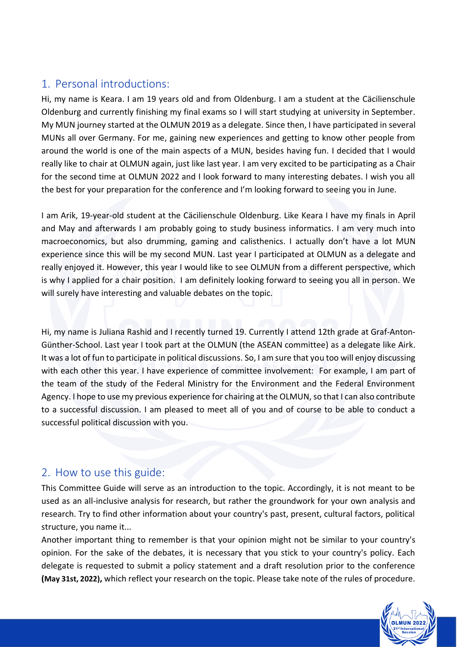# <span id="page-2-0"></span>1. Personal introductions:

Hi, my name is Keara. I am 19 years old and from Oldenburg. I am a student at the Cäcilienschule Oldenburg and currently finishing my final exams so I will start studying at university in September. My MUN journey started at the OLMUN 2019 as a delegate. Since then, I have participated in several MUNs all over Germany. For me, gaining new experiences and getting to know other people from around the world is one of the main aspects of a MUN, besides having fun. I decided that I would really like to chair at OLMUN again, just like last year. I am very excited to be participating as a Chair for the second time at OLMUN 2022 and I look forward to many interesting debates. I wish you all the best for your preparation for the conference and I'm looking forward to seeing you in June.

I am Arik, 19-year-old student at the Cäcilienschule Oldenburg. Like Keara I have my finals in April and May and afterwards I am probably going to study business informatics. I am very much into macroeconomics, but also drumming, gaming and calisthenics. I actually don't have a lot MUN experience since this will be my second MUN. Last year I participated at OLMUN as a delegate and really enjoyed it. However, this year I would like to see OLMUN from a different perspective, which is why I applied for a chair position. I am definitely looking forward to seeing you all in person. We will surely have interesting and valuable debates on the topic.

Hi, my name is Juliana Rashid and I recently turned 19. Currently I attend 12th grade at Graf-Anton-Günther-School. Last year I took part at the OLMUN (the ASEAN committee) as a delegate like Airk. It was a lot of fun to participate in political discussions. So, I am sure that you too will enjoy discussing with each other this year. I have experience of committee involvement: For example, I am part of the team of the study of the Federal Ministry for the Environment and the Federal Environment Agency. I hope to use my previous experience for chairing at the OLMUN, so that I can also contribute to a successful discussion. I am pleased to meet all of you and of course to be able to conduct a successful political discussion with you.

## <span id="page-2-1"></span>2. How to use this guide:

This Committee Guide will serve as an introduction to the topic. Accordingly, it is not meant to be used as an all-inclusive analysis for research, but rather the groundwork for your own analysis and research. Try to find other information about your country's past, present, cultural factors, political structure, you name it...

Another important thing to remember is that your opinion might not be similar to your country's opinion. For the sake of the debates, it is necessary that you stick to your country's policy. Each delegate is requested to submit a policy statement and a draft resolution prior to the conference **(May 31st, 2022),** which reflect your research on the topic. Please take note of the rules of procedure.

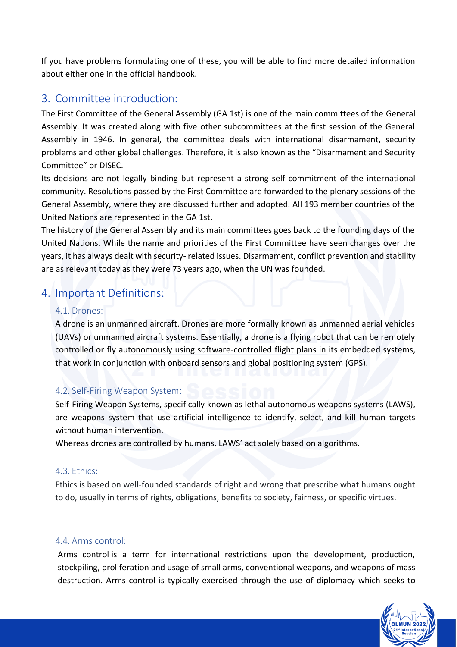If you have problems formulating one of these, you will be able to find more detailed information about either one in the official handbook.

### <span id="page-3-0"></span>3. Committee introduction:

The First Committee of the General Assembly (GA 1st) is one of the main committees of the General Assembly. It was created along with five other subcommittees at the first session of the General Assembly in 1946. In general, the committee deals with international disarmament, security problems and other global challenges. Therefore, it is also known as the "Disarmament and Security Committee" or DISEC.

Its decisions are not legally binding but represent a strong self-commitment of the international community. Resolutions passed by the First Committee are forwarded to the plenary sessions of the General Assembly, where they are discussed further and adopted. All 193 member countries of the United Nations are represented in the GA 1st.

The history of the General Assembly and its main committees goes back to the founding days of the United Nations. While the name and priorities of the First Committee have seen changes over the years, it has always dealt with security- related issues. Disarmament, conflict prevention and stability are as relevant today as they were 73 years ago, when the UN was founded.

# <span id="page-3-2"></span><span id="page-3-1"></span>4. Important Definitions:

#### 4.1. Drones:

A drone is an unmanned aircraft. Drones are more formally known as unmanned aerial vehicles (UAVs) or unmanned aircraft systems. Essentially, a drone is a flying robot that can be remotely controlled or fly autonomously using software-controlled flight plans in its embedded systems, that work in conjunction with onboard sensors and global positioning system (GPS).

#### <span id="page-3-3"></span>4.2. Self-Firing Weapon System:

Self-Firing Weapon Systems, specifically known as lethal autonomous weapons systems (LAWS), are weapons system that use artificial intelligence to identify, select, and kill human targets without human intervention.

Whereas drones are controlled by humans, LAWS' act solely based on algorithms.

#### <span id="page-3-4"></span>4.3. Ethics:

Ethics is based on well-founded standards of right and wrong that prescribe what humans ought to do, usually in terms of rights, obligations, benefits to society, fairness, or specific virtues.

#### <span id="page-3-5"></span>4.4. Arms control:

Arms control is a term for international restrictions upon the development, production, stockpiling, proliferation and usage of small arms, conventional weapons, and weapons of mass destruction. Arms control is typically exercised through the use of diplomacy which seeks to

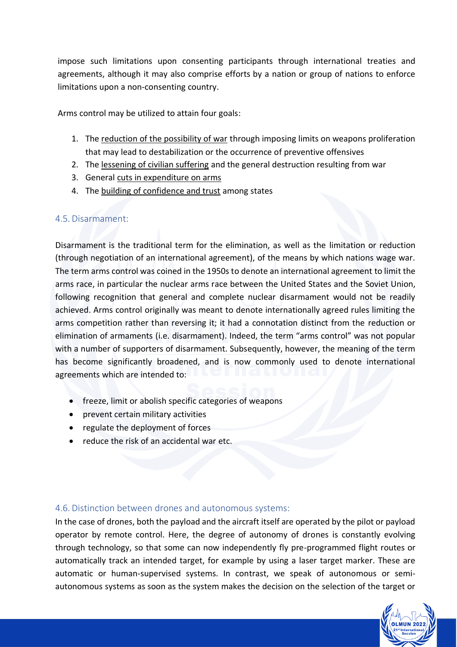impose such limitations upon consenting participants through international treaties and agreements, although it may also comprise efforts by a nation or group of nations to enforce limitations upon a non-consenting country.

Arms control may be utilized to attain four goals:

- 1. The reduction of the possibility of war through imposing limits on weapons proliferation that may lead to destabilization or the occurrence of preventive offensives
- 2. The lessening of civilian suffering and the general destruction resulting from war
- 3. General cuts in expenditure on arms
- 4. The building of confidence and trust among states

#### <span id="page-4-0"></span>4.5. Disarmament:

Disarmament is the traditional term for the elimination, as well as the limitation or reduction (through negotiation of an international agreement), of the means by which nations wage war. The term arms control was coined in the 1950s to denote an international agreement to limit the arms race, in particular the nuclear arms race between the United States and the Soviet Union, following recognition that general and complete nuclear disarmament would not be readily achieved. Arms control originally was meant to denote internationally agreed rules limiting the arms competition rather than reversing it; it had a connotation distinct from the reduction or elimination of armaments (i.e. disarmament). Indeed, the term "arms control" was not popular with a number of supporters of disarmament. Subsequently, however, the meaning of the term has become significantly broadened, and is now commonly used to denote international agreements which are intended to:

- freeze, limit or abolish specific categories of weapons
- prevent certain military activities
- regulate the deployment of forces
- reduce the risk of an accidental war etc.

#### <span id="page-4-1"></span>4.6. Distinction between drones and autonomous systems:

In the case of drones, both the payload and the aircraft itself are operated by the pilot or payload operator by remote control. Here, the degree of autonomy of drones is constantly evolving through technology, so that some can now independently fly pre-programmed flight routes or automatically track an intended target, for example by using a laser target marker. These are automatic or human-supervised systems. In contrast, we speak of autonomous or semiautonomous systems as soon as the system makes the decision on the selection of the target or

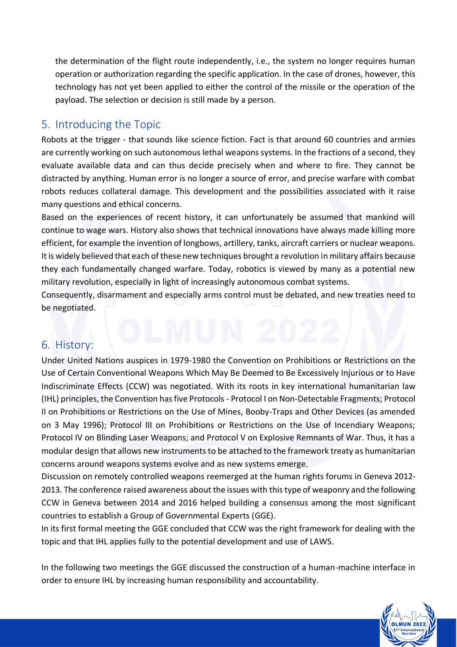the determination of the flight route independently, i.e., the system no longer requires human operation or authorization regarding the specific application. In the case of drones, however, this technology has not yet been applied to either the control of the missile or the operation of the payload. The selection or decision is still made by a person.

## <span id="page-5-0"></span>5. Introducing the Topic

Robots at the trigger - that sounds like science fiction. Fact is that around 60 countries and armies are currently working on such autonomous lethal weapons systems. In the fractions of a second, they evaluate available data and can thus decide precisely when and where to fire. They cannot be distracted by anything. Human error is no longer a source of error, and precise warfare with combat robots reduces collateral damage. This development and the possibilities associated with it raise many questions and ethical concerns.

Based on the experiences of recent history, it can unfortunately be assumed that mankind will continue to wage wars. History also shows that technical innovations have always made killing more efficient, for example the invention of longbows, artillery, tanks, aircraft carriers or nuclear weapons. It is widely believed that each of these new techniques brought a revolution in military affairs because they each fundamentally changed warfare. Today, robotics is viewed by many as a potential new military revolution, especially in light of increasingly autonomous combat systems.

Consequently, disarmament and especially arms control must be debated, and new treaties need to be negotiated.

# <span id="page-5-1"></span>6. History:

Under United Nations auspices in 1979-1980 the Convention on Prohibitions or Restrictions on the Use of Certain Conventional Weapons Which May Be Deemed to Be Excessively Injurious or to Have Indiscriminate Effects (CCW) was negotiated. With its roots in key international humanitarian law (IHL) principles, the Convention has five Protocols - Protocol I on Non-Detectable Fragments; Protocol II on Prohibitions or Restrictions on the Use of Mines, Booby-Traps and Other Devices (as amended on 3 May 1996); Protocol III on Prohibitions or Restrictions on the Use of Incendiary Weapons; Protocol IV on Blinding Laser Weapons; and Protocol V on Explosive Remnants of War. Thus, it has a modular design that allows new instruments to be attached to the framework treaty as humanitarian concerns around weapons systems evolve and as new systems emerge.

Discussion on remotely controlled weapons reemerged at the human rights forums in Geneva 2012- 2013. The conference raised awareness about the issues with this type of weaponry and the following CCW in Geneva between 2014 and 2016 helped building a consensus among the most significant countries to establish a Group of Governmental Experts (GGE).

In its first formal meeting the GGE concluded that CCW was the right framework for dealing with the topic and that IHL applies fully to the potential development and use of LAWS.

In the following two meetings the GGE discussed the construction of a human-machine interface in order to ensure IHL by increasing human responsibility and accountability.

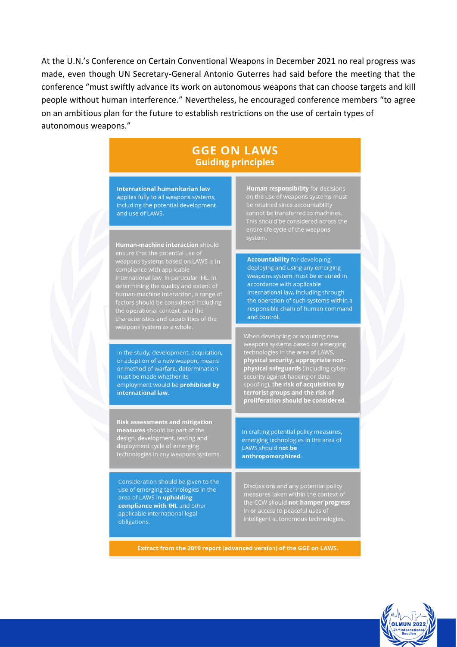At the U.N.'s Conference on Certain Conventional Weapons in December 2021 no real progress was made, even though UN Secretary-General Antonio Guterres had said before the meeting that the conference "must swiftly advance its work on autonomous weapons that can choose targets and kill people without human interference." Nevertheless, he encouraged conference members "to agree on an ambitious plan for the future to establish restrictions on the use of certain types of autonomous weapons."

### **GGE ON LAWS Guiding principles**

**International humanitarian law** applies fully to all weapons systems, including the potential development and use of LAWS.

Human-machine interaction should ensure that the potential use of weapons systems based on LAWS is in compliance with applicable characterístics and capabilití<br>weapons system as a whole

In the study, development, acquisition, or adoption of a new weapon, means or method of warfare, determination must be made whether its employment would be **prohibited by** international law.

**Risk assessments and mitigation** measures should be part of the<br>design, development, testing and

Consideration should be given to the use of emerging technologies in the area of LAWS in upholding compliance with IHL and other applicable international legal obligations.

**Human responsibility** for decisions

**Accountability** for developing. deploying and using any emerging weapons system must be ensured in accordance with applicable international law, including through the operation of such systems within a responsible chain of human command and control.

physical security, appropriate nonphysical safeguards (including cybersecurity against hacking or data<br>spoofing), the risk of acquisition by<br>terrorist groups and the risk of<br>proliferation should be considered.

In crafting potential policy measures, emerging technologies in the area of LAWS should not be anthropomorphized.

Discussions and any potential policy measures taken within the context of the CCW should not hamper progress intelligent autonomous technologies.

Extract from the 2019 report (advanced version) of the GGE on LAWS.

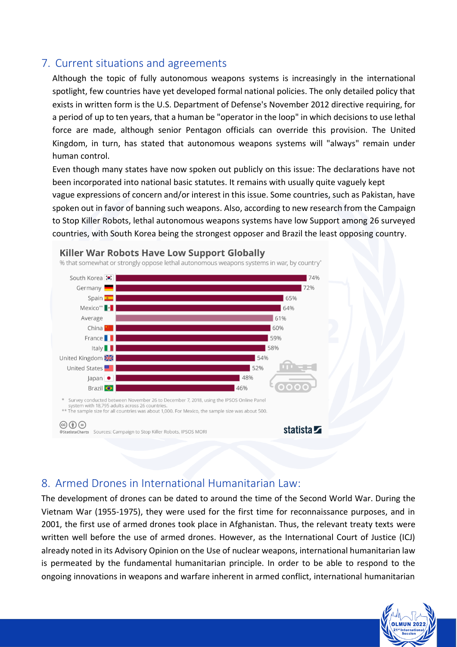# <span id="page-7-0"></span>7. Current situations and agreements

Although the topic of fully autonomous weapons systems is increasingly in the international spotlight, few countries have yet developed formal national policies. The only detailed policy that exists in written form is the U.S. Department of Defense's November 2012 directive requiring, for a period of up to ten years, that a human be "operator in the loop" in which decisions to use lethal force are made, although senior Pentagon officials can override this provision. The United Kingdom, in turn, has stated that autonomous weapons systems will "always" remain under human control.

Even though many states have now spoken out publicly on this issue: The declarations have not been incorporated into national basic statutes. It remains with usually quite vaguely kept vague expressions of concern and/or interest in this issue. Some countries, such as Pakistan, have spoken out in favor of banning such weapons. Also, according to new research from the Campaign to Stop Killer Robots, lethal autonomous weapons systems have low Support among 26 surveyed countries, with South Korea being the strongest opposer and Brazil the least opposing country.



#### <span id="page-7-1"></span>8. Armed Drones in International Humanitarian Law:

The development of drones can be dated to around the time of the Second World War. During the Vietnam War (1955-1975), they were used for the first time for reconnaissance purposes, and in 2001, the first use of armed drones took place in Afghanistan. Thus, the relevant treaty texts were written well before the use of armed drones. However, as the International Court of Justice (ICJ) already noted in its Advisory Opinion on the Use of nuclear weapons, international humanitarian law is permeated by the fundamental humanitarian principle. In order to be able to respond to the ongoing innovations in weapons and warfare inherent in armed conflict, international humanitarian

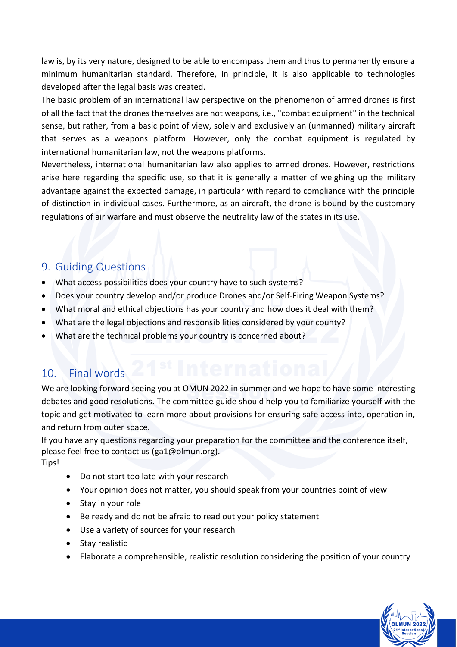law is, by its very nature, designed to be able to encompass them and thus to permanently ensure a minimum humanitarian standard. Therefore, in principle, it is also applicable to technologies developed after the legal basis was created.

The basic problem of an international law perspective on the phenomenon of armed drones is first of all the fact that the drones themselves are not weapons, i.e., "combat equipment" in the technical sense, but rather, from a basic point of view, solely and exclusively an (unmanned) military aircraft that serves as a weapons platform. However, only the combat equipment is regulated by international humanitarian law, not the weapons platforms.

Nevertheless, international humanitarian law also applies to armed drones. However, restrictions arise here regarding the specific use, so that it is generally a matter of weighing up the military advantage against the expected damage, in particular with regard to compliance with the principle of distinction in individual cases. Furthermore, as an aircraft, the drone is bound by the customary regulations of air warfare and must observe the neutrality law of the states in its use.

#### <span id="page-8-0"></span>9. Guiding Questions

- What access possibilities does your country have to such systems?
- Does your country develop and/or produce Drones and/or Self-Firing Weapon Systems?
- What moral and ethical objections has your country and how does it deal with them?
- What are the legal objections and responsibilities considered by your county?
- What are the technical problems your country is concerned about?

# <span id="page-8-1"></span>10. Final words

We are looking forward seeing you at OMUN 2022 in summer and we hope to have some interesting debates and good resolutions. The committee guide should help you to familiarize yourself with the topic and get motivated to learn more about provisions for ensuring safe access into, operation in, and return from outer space.

If you have any questions regarding your preparation for the committee and the conference itself, please feel free to contact us [\(ga1@olmun.org\)](mailto:ga1@olmun.org). Tips!

- Do not start too late with your research
- Your opinion does not matter, you should speak from your countries point of view
- Stay in your role
- Be ready and do not be afraid to read out your policy statement
- Use a variety of sources for your research
- Stay realistic
- Elaborate a comprehensible, realistic resolution considering the position of your country